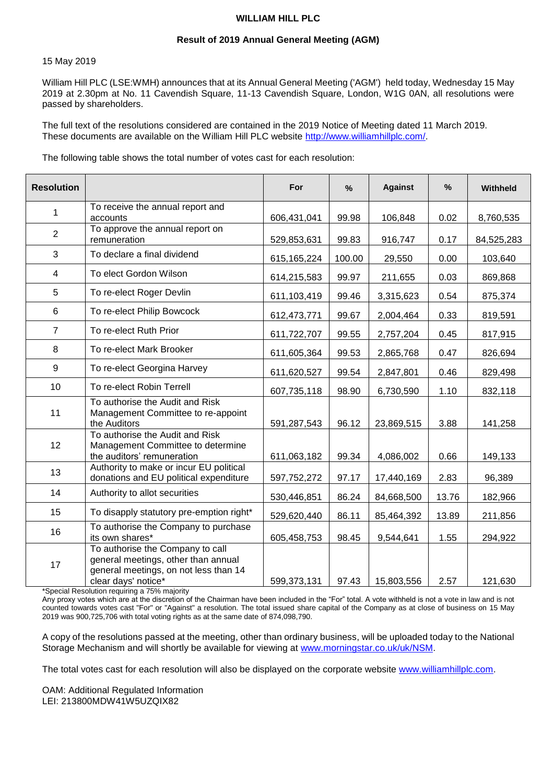#### **WILLIAM HILL PLC**

### **Result of 2019 Annual General Meeting (AGM)**

#### 15 May 2019

William Hill PLC (LSE:WMH) announces that at its Annual General Meeting ('AGM') held today, Wednesday 15 May 2019 at 2.30pm at No. 11 Cavendish Square, 11-13 Cavendish Square, London, W1G 0AN, all resolutions were passed by shareholders.

The full text of the resolutions considered are contained in the 2019 Notice of Meeting dated 11 March 2019. These documents are available on the William Hill PLC website [http://www.williamhillplc.com/.](http://www.williamhillplc.com/)

The following table shows the total number of votes cast for each resolution:

| <b>Resolution</b> |                                                                                                                                         | For           | $\frac{9}{6}$ | <b>Against</b> | %     | <b>Withheld</b> |
|-------------------|-----------------------------------------------------------------------------------------------------------------------------------------|---------------|---------------|----------------|-------|-----------------|
| $\mathbf{1}$      | To receive the annual report and<br>accounts                                                                                            | 606,431,041   | 99.98         | 106,848        | 0.02  | 8,760,535       |
| $\overline{2}$    | To approve the annual report on<br>remuneration                                                                                         | 529,853,631   | 99.83         | 916,747        | 0.17  | 84,525,283      |
| 3                 | To declare a final dividend                                                                                                             | 615, 165, 224 | 100.00        | 29,550         | 0.00  | 103,640         |
| 4                 | To elect Gordon Wilson                                                                                                                  | 614,215,583   | 99.97         | 211,655        | 0.03  | 869,868         |
| 5                 | To re-elect Roger Devlin                                                                                                                | 611,103,419   | 99.46         | 3,315,623      | 0.54  | 875,374         |
| 6                 | To re-elect Philip Bowcock                                                                                                              | 612,473,771   | 99.67         | 2,004,464      | 0.33  | 819,591         |
| $\overline{7}$    | To re-elect Ruth Prior                                                                                                                  | 611,722,707   | 99.55         | 2,757,204      | 0.45  | 817,915         |
| 8                 | To re-elect Mark Brooker                                                                                                                | 611,605,364   | 99.53         | 2,865,768      | 0.47  | 826,694         |
| 9                 | To re-elect Georgina Harvey                                                                                                             | 611,620,527   | 99.54         | 2,847,801      | 0.46  | 829,498         |
| 10                | To re-elect Robin Terrell                                                                                                               | 607,735,118   | 98.90         | 6,730,590      | 1.10  | 832,118         |
| 11                | To authorise the Audit and Risk<br>Management Committee to re-appoint<br>the Auditors                                                   | 591,287,543   | 96.12         | 23,869,515     | 3.88  | 141,258         |
| 12                | To authorise the Audit and Risk<br>Management Committee to determine<br>the auditors' remuneration                                      | 611,063,182   | 99.34         | 4,086,002      | 0.66  | 149,133         |
| 13                | Authority to make or incur EU political<br>donations and EU political expenditure                                                       | 597,752,272   | 97.17         | 17,440,169     | 2.83  | 96,389          |
| 14                | Authority to allot securities                                                                                                           | 530,446,851   | 86.24         | 84,668,500     | 13.76 | 182,966         |
| 15                | To disapply statutory pre-emption right*                                                                                                | 529,620,440   | 86.11         | 85,464,392     | 13.89 | 211,856         |
| 16                | To authorise the Company to purchase<br>its own shares*                                                                                 | 605,458,753   | 98.45         | 9,544,641      | 1.55  | 294,922         |
| 17                | To authorise the Company to call<br>general meetings, other than annual<br>general meetings, on not less than 14<br>clear days' notice* | 599,373,131   | 97.43         | 15,803,556     | 2.57  | 121,630         |

\*Special Resolution requiring a 75% majority

Any proxy votes which are at the discretion of the Chairman have been included in the "For" total. A vote withheld is not a vote in law and is not counted towards votes cast "For" or "Against" a resolution. The total issued share capital of the Company as at close of business on 15 May 2019 was 900,725,706 with total voting rights as at the same date of 874,098,790.

A copy of the resolutions passed at the meeting, other than ordinary business, will be uploaded today to the National Storage Mechanism and will shortly be available for viewing at [www.morningstar.co.uk/uk/NSM.](http://www.morningstar.co.uk/uk/NSM)

The total votes cast for each resolution will also be displayed on the corporate website [www.williamhillplc.com.](http://www.williamhillplc.com/)

OAM: Additional Regulated Information LEI: 213800MDW41W5UZQIX82